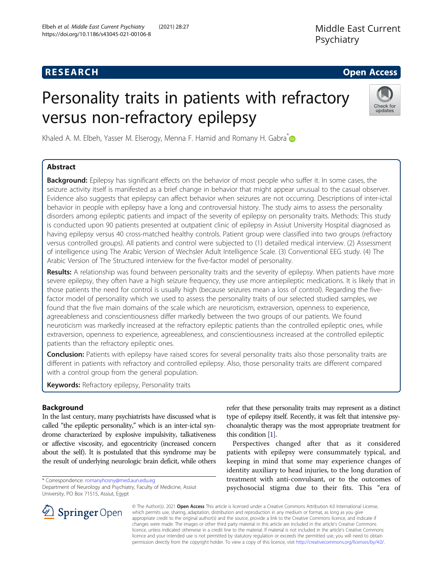## **RESEARCH CHE Open Access**

# Personality traits in patients with refractory versus non-refractory epilepsy



Khaled A. M. Elbeh, Yasser M. Elserogy, Menna F. Hamid and Romany H. Gabra<sup>\*</sup>

## Abstract

Background: Epilepsy has significant effects on the behavior of most people who suffer it. In some cases, the seizure activity itself is manifested as a brief change in behavior that might appear unusual to the casual observer. Evidence also suggests that epilepsy can affect behavior when seizures are not occurring. Descriptions of inter-ictal behavior in people with epilepsy have a long and controversial history. The study aims to assess the personality disorders among epileptic patients and impact of the severity of epilepsy on personality traits. Methods: This study is conducted upon 90 patients presented at outpatient clinic of epilepsy in Assiut University Hospital diagnosed as having epilepsy versus 40 cross-matched healthy controls. Patient group were classified into two groups (refractory versus controlled groups). All patients and control were subjected to (1) detailed medical interview. (2) Assessment of intelligence using The Arabic Version of Wechsler Adult Intelligence Scale. (3) Conventional EEG study. (4) The Arabic Version of The Structured interview for the five-factor model of personality.

Results: A relationship was found between personality traits and the severity of epilepsy. When patients have more severe epilepsy, they often have a high seizure frequency, they use more antiepileptic medications. It is likely that in those patients the need for control is usually high (because seizures mean a loss of control). Regarding the fivefactor model of personality which we used to assess the personality traits of our selected studied samples, we found that the five main domains of the scale which are neuroticism, extraversion, openness to experience, agreeableness and conscientiousness differ markedly between the two groups of our patients. We found neuroticism was markedly increased at the refractory epileptic patients than the controlled epileptic ones, while extraversion, openness to experience, agreeableness, and conscientiousness increased at the controlled epileptic patients than the refractory epileptic ones.

**Conclusion:** Patients with epilepsy have raised scores for several personality traits also those personality traits are different in patients with refractory and controlled epilepsy. Also, those personality traits are different compared with a control group from the general population.

Keywords: Refractory epilepsy, Personality traits

#### Background

In the last century, many psychiatrists have discussed what is called "the epileptic personality," which is an inter-ictal syndrome characterized by explosive impulsivity, talkativeness or affective viscosity, and egocentricity (increased concern about the self). It is postulated that this syndrome may be the result of underlying neurologic brain deficit, while others

\* Correspondence: [romanyhosny@med.aun.edu.eg](mailto:romanyhosny@med.aun.edu.eg)

Department of Neurology and Psychiatry, Faculty of Medicine, Assiut University, PO Box 71515, Assiut, Egypt



refer that these personality traits may represent as a distinct type of epilepsy itself. Recently, it was felt that intensive psychoanalytic therapy was the most appropriate treatment for this condition [\[1\]](#page-6-0).

Perspectives changed after that as it considered patients with epilepsy were consummately typical, and keeping in mind that some may experience changes of identity auxiliary to head injuries, to the long duration of treatment with anti-convulsant, or to the outcomes of psychosocial stigma due to their fits. This "era of

© The Author(s). 2021 Open Access This article is licensed under a Creative Commons Attribution 4.0 International License, which permits use, sharing, adaptation, distribution and reproduction in any medium or format, as long as you give appropriate credit to the original author(s) and the source, provide a link to the Creative Commons licence, and indicate if changes were made. The images or other third party material in this article are included in the article's Creative Commons licence, unless indicated otherwise in a credit line to the material. If material is not included in the article's Creative Commons licence and your intended use is not permitted by statutory regulation or exceeds the permitted use, you will need to obtain permission directly from the copyright holder. To view a copy of this licence, visit <http://creativecommons.org/licenses/by/4.0/>.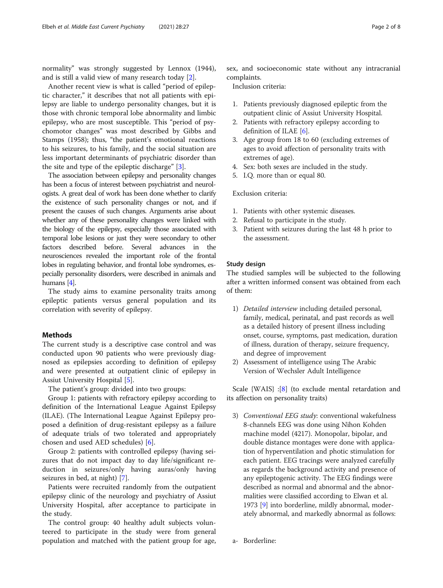normality" was strongly suggested by Lennox (1944), and is still a valid view of many research today [[2\]](#page-6-0).

Another recent view is what is called "period of epileptic character," it describes that not all patients with epilepsy are liable to undergo personality changes, but it is those with chronic temporal lobe abnormality and limbic epilepsy, who are most susceptible. This "period of psychomotor changes" was most described by Gibbs and Stamps (1958); thus, "the patient's emotional reactions to his seizures, to his family, and the social situation are less important determinants of psychiatric disorder than the site and type of the epileptic discharge" [[3\]](#page-6-0).

The association between epilepsy and personality changes has been a focus of interest between psychiatrist and neurologists. A great deal of work has been done whether to clarify the existence of such personality changes or not, and if present the causes of such changes. Arguments arise about whether any of these personality changes were linked with the biology of the epilepsy, especially those associated with temporal lobe lesions or just they were secondary to other factors described before. Several advances in the neurosciences revealed the important role of the frontal lobes in regulating behavior, and frontal lobe syndromes, especially personality disorders, were described in animals and humans [\[4\]](#page-6-0).

The study aims to examine personality traits among epileptic patients versus general population and its correlation with severity of epilepsy.

#### Methods

The current study is a descriptive case control and was conducted upon 90 patients who were previously diagnosed as epilepsies according to definition of epilepsy and were presented at outpatient clinic of epilepsy in Assiut University Hospital [\[5](#page-6-0)].

The patient's group: divided into two groups:

Group 1: patients with refractory epilepsy according to definition of the International League Against Epilepsy (ILAE). (The International League Against Epilepsy proposed a definition of drug-resistant epilepsy as a failure of adequate trials of two tolerated and appropriately chosen and used AED schedules) [[6\]](#page-6-0).

Group 2: patients with controlled epilepsy (having seizures that do not impact day to day life/significant reduction in seizures/only having auras/only having seizures in bed, at night) [[7](#page-6-0)].

Patients were recruited randomly from the outpatient epilepsy clinic of the neurology and psychiatry of Assiut University Hospital, after acceptance to participate in the study.

The control group: 40 healthy adult subjects volunteered to participate in the study were from general population and matched with the patient group for age, sex, and socioeconomic state without any intracranial complaints.

Inclusion criteria:

- 1. Patients previously diagnosed epileptic from the outpatient clinic of Assiut University Hospital.
- 2. Patients with refractory epilepsy according to definition of ILAE [\[6](#page-6-0)].
- 3. Age group from 18 to 60 (excluding extremes of ages to avoid affection of personality traits with extremes of age).
- 4. Sex: both sexes are included in the study.
- 5. I.Q. more than or equal 80.

#### Exclusion criteria:

- 1. Patients with other systemic diseases.
- 2. Refusal to participate in the study.
- 3. Patient with seizures during the last 48 h prior to the assessment.

#### Study design

The studied samples will be subjected to the following after a written informed consent was obtained from each of them:

- 1) Detailed interview including detailed personal, family, medical, perinatal, and past records as well as a detailed history of present illness including onset, course, symptoms, past medication, duration of illness, duration of therapy, seizure frequency, and degree of improvement
- 2) Assessment of intelligence using The Arabic Version of Wechsler Adult Intelligence

Scale {WAIS} :[[8\]](#page-6-0) (to exclude mental retardation and its affection on personality traits)

- 3) Conventional EEG study: conventional wakefulness 8-channels EEG was done using Nihon Kohden machine model (4217). Monopolar, bipolar, and double distance montages were done with application of hyperventilation and photic stimulation for each patient. EEG tracings were analyzed carefully as regards the background activity and presence of any epileptogenic activity. The EEG findings were described as normal and abnormal and the abnormalities were classified according to Elwan et al. 1973 [[9](#page-6-0)] into borderline, mildly abnormal, moderately abnormal, and markedly abnormal as follows:
- a- Borderline: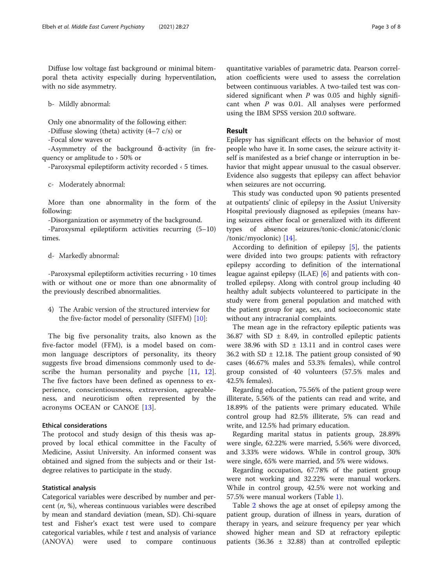Diffuse low voltage fast background or minimal bitemporal theta activity especially during hyperventilation, with no side asymmetry.

b- Mildly abnormal:

Only one abnormality of the following either:

-Diffuse slowing (theta) activity (4–7 c/s) or

-Focal slow waves or

-Asymmetry of the background ᾰ-activity (in frequency or amplitude to › 50% or

-Paroxysmal epileptiform activity recorded ‹ 5 times.

c- Moderately abnormal:

More than one abnormality in the form of the following:

-Disorganization or asymmetry of the background.

-Paroxysmal epileptiform activities recurring (5–10) times.

d- Markedly abnormal:

-Paroxysmal epileptiform activities recurring › 10 times with or without one or more than one abnormality of the previously described abnormalities.

4) The Arabic version of the structured interview for the five-factor model of personality (SIFFM)  $[10]$  $[10]$ :

The big five personality traits, also known as the five-factor model (FFM), is a model based on common language descriptors of personality, its theory suggests five broad dimensions commonly used to describe the human personality and psyche  $[11, 12]$  $[11, 12]$  $[11, 12]$  $[11, 12]$ . The five factors have been defined as openness to experience, conscientiousness, extraversion, agreeableness, and neuroticism often represented by the acronyms OCEAN or CANOE [[13](#page-6-0)].

#### Ethical considerations

The protocol and study design of this thesis was approved by local ethical committee in the Faculty of Medicine, Assiut University. An informed consent was obtained and signed from the subjects and or their 1stdegree relatives to participate in the study.

#### Statistical analysis

Categorical variables were described by number and percent  $(n, %)$ , whereas continuous variables were described by mean and standard deviation (mean, SD). Chi-square test and Fisher's exact test were used to compare categorical variables, while  $t$  test and analysis of variance (ANOVA) were used to compare continuous

quantitative variables of parametric data. Pearson correlation coefficients were used to assess the correlation between continuous variables. A two-tailed test was considered significant when  $P$  was 0.05 and highly significant when  $P$  was 0.01. All analyses were performed using the IBM SPSS version 20.0 software.

#### Result

Epilepsy has significant effects on the behavior of most people who have it. In some cases, the seizure activity itself is manifested as a brief change or interruption in behavior that might appear unusual to the casual observer. Evidence also suggests that epilepsy can affect behavior when seizures are not occurring.

This study was conducted upon 90 patients presented at outpatients' clinic of epilepsy in the Assiut University Hospital previously diagnosed as epilepsies (means having seizures either focal or generalized with its different types of absence seizures/tonic-clonic/atonic/clonic /tonic/myoclonic) [[14\]](#page-6-0).

According to definition of epilepsy [[5\]](#page-6-0), the patients were divided into two groups: patients with refractory epilepsy according to definition of the international league against epilepsy (ILAE) [[6](#page-6-0)] and patients with controlled epilepsy. Along with control group including 40 healthy adult subjects volunteered to participate in the study were from general population and matched with the patient group for age, sex, and socioeconomic state without any intracranial complaints.

The mean age in the refractory epileptic patients was 36.87 with SD  $\pm$  8.49, in controlled epileptic patients were 38.96 with SD  $\pm$  13.11 and in control cases were 36.2 with SD  $\pm$  12.18. The patient group consisted of 90 cases (46.67% males and 53.3% females), while control group consisted of 40 volunteers (57.5% males and 42.5% females).

Regarding education, 75.56% of the patient group were illiterate, 5.56% of the patients can read and write, and 18.89% of the patients were primary educated. While control group had 82.5% illiterate, 5% can read and write, and 12.5% had primary education.

Regarding marital status in patients group, 28.89% were single, 62.22% were married, 5.56% were divorced, and 3.33% were widows. While in control group, 30% were single, 65% were married, and 5% were widows.

Regarding occupation, 67.78% of the patient group were not working and 32.22% were manual workers. While in control group, 42.5% were not working and 57.5% were manual workers (Table [1](#page-3-0)).

Table [2](#page-3-0) shows the age at onset of epilepsy among the patient group, duration of illness in years, duration of therapy in years, and seizure frequency per year which showed higher mean and SD at refractory epileptic patients (36.36  $\pm$  32.88) than at controlled epileptic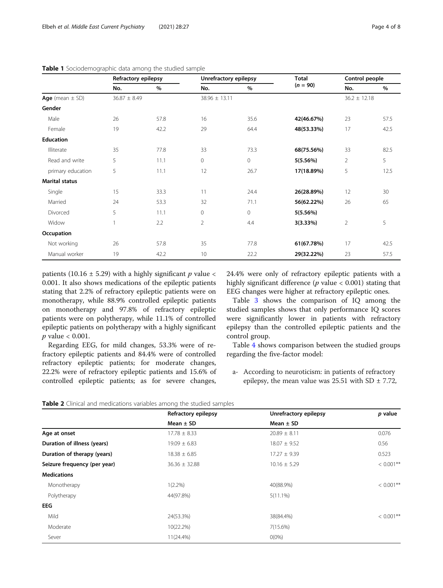|                   | Refractory epilepsy |      | Unrefractory epilepsy |         | <b>Total</b> | Control people   |      |
|-------------------|---------------------|------|-----------------------|---------|--------------|------------------|------|
|                   | No.                 | $\%$ | No.                   | %       | $(n = 90)$   | No.              | $\%$ |
| Age (mean ± SD)   | $36.87 \pm 8.49$    |      | $38.96 \pm 13.11$     |         |              | $36.2 \pm 12.18$ |      |
| Gender            |                     |      |                       |         |              |                  |      |
| Male              | 26                  | 57.8 | 16                    | 35.6    | 42(46.67%)   | 23               | 57.5 |
| Female            | 19                  | 42.2 | 29                    | 64.4    | 48(53.33%)   | 17               | 42.5 |
| <b>Education</b>  |                     |      |                       |         |              |                  |      |
| Illiterate        | 35                  | 77.8 | 33                    | 73.3    | 68(75.56%)   | 33               | 82.5 |
| Read and write    | 5                   | 11.1 | $\circ$               | $\circ$ | 5(5.56%)     | $\overline{2}$   | 5    |
| primary education | 5                   | 11.1 | 12                    | 26.7    | 17(18.89%)   | 5                | 12.5 |
| Marital status    |                     |      |                       |         |              |                  |      |
| Single            | 15                  | 33.3 | 11                    | 24.4    | 26(28.89%)   | 12               | 30   |
| Married           | 24                  | 53.3 | 32                    | 71.1    | 56(62.22%)   | 26               | 65   |
| Divorced          | 5                   | 11.1 | 0                     | 0       | 5(5.56%)     |                  |      |
| Widow             |                     | 2.2  | $\overline{2}$        | 4.4     | 3(3.33%)     | $\overline{2}$   | 5    |
| <b>Occupation</b> |                     |      |                       |         |              |                  |      |
| Not working       | 26                  | 57.8 | 35                    | 77.8    | 61(67.78%)   | 17               | 42.5 |

Manual worker 19 19 42.2 10 22.2 29 29 23 57.5

### <span id="page-3-0"></span>Table 1 Sociodemographic data among the studied sample

patients (10.16  $\pm$  5.29) with a highly significant p value < 0.001. It also shows medications of the epileptic patients stating that 2.2% of refractory epileptic patients were on monotherapy, while 88.9% controlled epileptic patients on monotherapy and 97.8% of refractory epileptic patients were on polytherapy, while 11.1% of controlled epileptic patients on polytherapy with a highly significant  $p$  value  $< 0.001$ .

Regarding EEG, for mild changes, 53.3% were of refractory epileptic patients and 84.4% were of controlled refractory epileptic patients; for moderate changes, 22.2% were of refractory epileptic patients and 15.6% of controlled epileptic patients; as for severe changes, 24.4% were only of refractory epileptic patients with a highly significant difference ( $p$  value < 0.001) stating that EEG changes were higher at refractory epileptic ones.

Table [3](#page-4-0) shows the comparison of IQ among the studied samples shows that only performance IQ scores were significantly lower in patients with refractory epilepsy than the controlled epileptic patients and the control group.

Table [4](#page-4-0) shows comparison between the studied groups regarding the five-factor model:

a- According to neuroticism: in patients of refractory epilepsy, the mean value was  $25.51$  with SD  $\pm$  7.72,

|--|

|                              | Refractory epilepsy | Unrefractory epilepsy | p value      |
|------------------------------|---------------------|-----------------------|--------------|
|                              | Mean $\pm$ SD       | Mean $\pm$ SD         |              |
| Age at onset                 | $17.78 \pm 8.33$    | $20.89 \pm 8.11$      | 0.076        |
| Duration of illness (years)  | $19.09 \pm 6.83$    | $18.07 \pm 9.52$      | 0.56         |
| Duration of therapy (years)  | $18.38 \pm 6.85$    | $17.27 \pm 9.39$      | 0.523        |
| Seizure frequency (per year) | $36.36 \pm 32.88$   | $10.16 \pm 5.29$      | $< 0.001$ ** |
| <b>Medications</b>           |                     |                       |              |
| Monotherapy                  | $1(2.2\%)$          | 40(88.9%)             | $< 0.001**$  |
| Polytherapy                  | 44(97.8%)           | $5(11.1\%)$           |              |
| <b>EEG</b>                   |                     |                       |              |
| Mild                         | 24(53.3%)           | 38(84.4%)             | $< 0.001**$  |
| Moderate                     | 10(22.2%)           | 7(15.6%)              |              |
| Sever                        | 11(24.4%)           | $O(0\%)$              |              |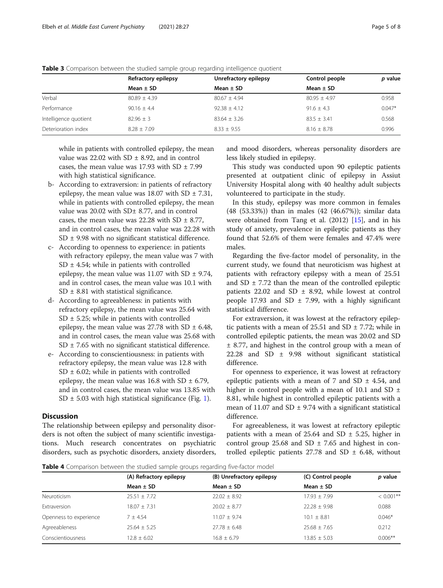|                       | Refractory epilepsy | Unrefractory epilepsy | Control people   | p value  |
|-----------------------|---------------------|-----------------------|------------------|----------|
|                       | Mean $\pm$ SD       | Mean $\pm$ SD         | Mean $\pm$ SD    |          |
| Verbal                | $80.89 \pm 4.39$    | $80.67 \pm 4.94$      | $80.95 \pm 4.97$ | 0.958    |
| Performance           | $90.16 + 4.4$       | $92.38 + 4.12$        | $91.6 + 4.3$     | $0.047*$ |
| Intelligence quotient | $82.96 \pm 3$       | $83.64 \pm 3.26$      | $83.5 + 3.41$    | 0.568    |
| Deterioration index   | $8.28 + 7.09$       | $8.33 + 9.55$         | $8.16 + 8.78$    | 0.996    |

<span id="page-4-0"></span>Table 3 Comparison between the studied sample group regarding intelligence quotient

while in patients with controlled epilepsy, the mean value was 22.02 with  $SD \pm 8.92$ , and in control cases, the mean value was 17.93 with SD  $\pm$  7.99 with high statistical significance.

- b- According to extraversion: in patients of refractory epilepsy, the mean value was 18.07 with SD  $\pm$  7.31, while in patients with controlled epilepsy, the mean value was  $20.02$  with SD $\pm$  8.77, and in control cases, the mean value was 22.28 with SD  $\pm$  8.77, and in control cases, the mean value was 22.28 with  $SD \pm 9.98$  with no significant statistical difference.
- c- According to openness to experience: in patients with refractory epilepsy, the mean value was 7 with  $SD \pm 4.54$ ; while in patients with controlled epilepsy, the mean value was 11.07 with SD  $\pm$  9.74, and in control cases, the mean value was 10.1 with  $SD \pm 8.81$  with statistical significance.
- d- According to agreeableness: in patients with refractory epilepsy, the mean value was 25.64 with  $SD \pm 5.25$ ; while in patients with controlled epilepsy, the mean value was 27.78 with SD  $\pm$  6.48, and in control cases, the mean value was 25.68 with  $SD \pm 7.65$  with no significant statistical difference.
- e- According to conscientiousness: in patients with refractory epilepsy, the mean value was 12.8 with  $SD \pm 6.02$ ; while in patients with controlled epilepsy, the mean value was 16.8 with SD  $\pm$  6.79, and in control cases, the mean value was 13.85 with SD  $\pm$  5.03 with high statistical significance (Fig. [1](#page-5-0)).

#### **Discussion**

The relationship between epilepsy and personality disorders is not often the subject of many scientific investigations. Much research concentrates on psychiatric disorders, such as psychotic disorders, anxiety disorders,

and mood disorders, whereas personality disorders are less likely studied in epilepsy.

This study was conducted upon 90 epileptic patients presented at outpatient clinic of epilepsy in Assiut University Hospital along with 40 healthy adult subjects volunteered to participate in the study.

In this study, epilepsy was more common in females (48 (53.33%)) than in males (42 (46.67%)); similar data were obtained from Tang et al. (2012) [[15\]](#page-6-0), and in his study of anxiety, prevalence in epileptic patients as they found that 52.6% of them were females and 47.4% were males.

Regarding the five-factor model of personality, in the current study, we found that neuroticism was highest at patients with refractory epilepsy with a mean of 25.51 and SD  $\pm$  7.72 than the mean of the controlled epileptic patients 22.02 and SD  $\pm$  8.92, while lowest at control people 17.93 and SD  $\pm$  7.99, with a highly significant statistical difference.

For extraversion, it was lowest at the refractory epileptic patients with a mean of 25.51 and SD  $\pm$  7.72; while in controlled epileptic patients, the mean was 20.02 and SD ± 8.77, and highest in the control group with a mean of 22.28 and SD ± 9.98 without significant statistical difference.

For openness to experience, it was lowest at refractory epileptic patients with a mean of 7 and SD  $\pm$  4.54, and higher in control people with a mean of 10.1 and SD  $\pm$ 8.81, while highest in controlled epileptic patients with a mean of 11.07 and SD  $\pm$  9.74 with a significant statistical difference.

For agreeableness, it was lowest at refractory epileptic patients with a mean of 25.64 and SD  $\pm$  5.25, higher in control group 25.68 and SD  $\pm$  7.65 and highest in controlled epileptic patients 27.78 and SD  $\pm$  6.48, without

**Table 4** Comparison between the studied sample groups regarding five-factor model

|                        | (A) Refractory epilepsy | (B) Unrefractory epilepsy | (C) Control people | p value     |
|------------------------|-------------------------|---------------------------|--------------------|-------------|
|                        | Mean $\pm$ SD           | Mean $\pm$ SD             | Mean $\pm$ SD      |             |
| Neuroticism            | $25.51 + 7.72$          | $22.02 + 8.92$            | $17.93 + 7.99$     | $< 0.001**$ |
| Extraversion           | $18.07 + 7.31$          | $20.02 \pm 8.77$          | $22.28 + 9.98$     | 0.088       |
| Openness to experience | $7 + 4.54$              | $11.07 + 9.74$            | $10.1 + 8.81$      | $0.046*$    |
| Agreeableness          | $25.64 + 5.25$          | $27.78 + 6.48$            | $25.68 + 7.65$     | 0.212       |
| Conscientiousness      | $12.8 \pm 6.02$         | $16.8 \pm 6.79$           | $13.85 \pm 5.03$   | $0.006**$   |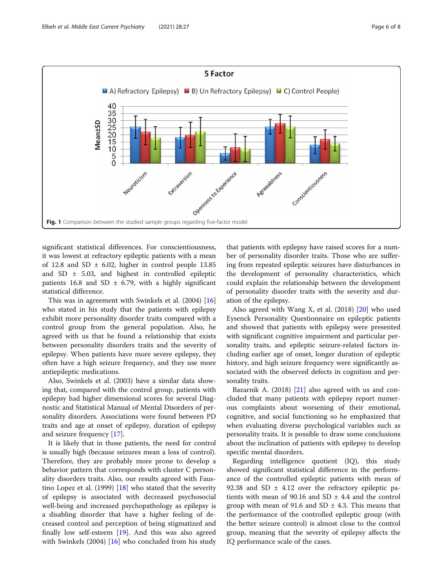<span id="page-5-0"></span>

significant statistical differences. For conscientiousness, it was lowest at refractory epileptic patients with a mean of 12.8 and SD  $\pm$  6.02, higher in control people 13.85 and SD  $\pm$  5.03, and highest in controlled epileptic patients 16.8 and SD  $\pm$  6.79, with a highly significant statistical difference.

This was in agreement with Swinkels et al. (2004) [[16](#page-7-0)] who stated in his study that the patients with epilepsy exhibit more personality disorder traits compared with a control group from the general population. Also, he agreed with us that he found a relationship that exists between personality disorders traits and the severity of epilepsy. When patients have more severe epilepsy, they often have a high seizure frequency, and they use more antiepileptic medications.

Also, Swinkels et al. (2003) have a similar data showing that, compared with the control group, patients with epilepsy had higher dimensional scores for several Diagnostic and Statistical Manual of Mental Disorders of personality disorders. Associations were found between PD traits and age at onset of epilepsy, duration of epilepsy and seizure frequency [\[17](#page-7-0)].

It is likely that in those patients, the need for control is usually high (because seizures mean a loss of control). Therefore, they are probably more prone to develop a behavior pattern that corresponds with cluster C personality disorders traits. Also, our results agreed with Faustino Lopez et al. (1999)  $[18]$  $[18]$  who stated that the severity of epilepsy is associated with decreased psychosocial well-being and increased psychopathology as epilepsy is a disabling disorder that have a higher feeling of decreased control and perception of being stigmatized and finally low self-esteem [[19\]](#page-7-0). And this was also agreed with Swinkels (2004) [[16\]](#page-7-0) who concluded from his study

that patients with epilepsy have raised scores for a number of personality disorder traits. Those who are suffering from repeated epileptic seizures have disturbances in the development of personality characteristics, which could explain the relationship between the development of personality disorder traits with the severity and duration of the epilepsy.

Also agreed with Wang X, et al.  $(2018)$  $(2018)$  $(2018)$  [20] who used Eysenck Personality Questionnaire on epileptic patients and showed that patients with epilepsy were presented with significant cognitive impairment and particular personality traits, and epileptic seizure-related factors including earlier age of onset, longer duration of epileptic history, and high seizure frequency were significantly associated with the observed defects in cognition and personality traits.

Bazarnik A. (2018) [\[21](#page-7-0)] also agreed with us and concluded that many patients with epilepsy report numerous complaints about worsening of their emotional, cognitive, and social functioning so he emphasized that when evaluating diverse psychological variables such as personality traits. It is possible to draw some conclusions about the inclination of patients with epilepsy to develop specific mental disorders.

Regarding intelligence quotient (IQ), this study showed significant statistical difference in the performance of the controlled epileptic patients with mean of 92.38 and SD  $\pm$  4.12 over the refractory epileptic patients with mean of 90.16 and SD  $\pm$  4.4 and the control group with mean of 91.6 and SD  $\pm$  4.3. This means that the performance of the controlled epileptic group (with the better seizure control) is almost close to the control group, meaning that the severity of epilepsy affects the IQ performance scale of the cases.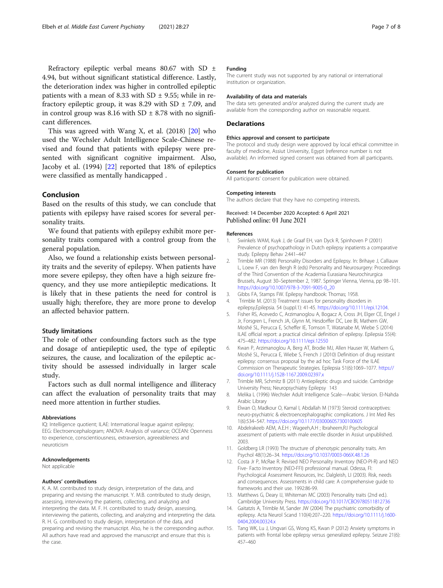<span id="page-6-0"></span>Refractory epileptic verbal means 80.67 with SD ± 4.94, but without significant statistical difference. Lastly, the deterioration index was higher in controlled epileptic patients with a mean of 8.33 with  $SD \pm 9.55$ ; while in refractory epileptic group, it was 8.29 with SD  $\pm$  7.09, and in control group was 8.16 with SD  $\pm$  8.78 with no significant differences.

This was agreed with Wang X, et al.  $(2018)$  [\[20](#page-7-0)] who used the Wechsler Adult Intelligence Scale-Chinese revised and found that patients with epilepsy were presented with significant cognitive impairment. Also, Jacoby et al. (1994) [\[22](#page-7-0)] reported that 18% of epileptics were classified as mentally handicapped .

#### Conclusion

Based on the results of this study, we can conclude that patients with epilepsy have raised scores for several personality traits.

We found that patients with epilepsy exhibit more personality traits compared with a control group from the general population.

Also, we found a relationship exists between personality traits and the severity of epilepsy. When patients have more severe epilepsy, they often have a high seizure frequency, and they use more antiepileptic medications. It is likely that in these patients the need for control is usually high; therefore, they are more prone to develop an affected behavior pattern.

#### Study limitations

The role of other confounding factors such as the type and dosage of antiepileptic used, the type of epileptic seizures, the cause, and localization of the epileptic activity should be assessed individually in larger scale study.

Factors such as dull normal intelligence and illiteracy can affect the evaluation of personality traits that may need more attention in further studies.

#### Abbreviations

IQ: Intelligence quotient; ILAE: International league against epilepsy; EEG: Electroencephalogram; ANOVA: Analysis of variance; OCEAN: Openness to experience, conscientiousness, extraversion, agreeableness and neuroticism

#### Acknowledgements

Not applicable

#### Authors' contributions

K. A. M. contributed to study design, interpretation of the data, and preparing and revising the manuscript. Y. M.B. contributed to study design, assessing, interviewing the patients, collecting, and analyzing and interpreting the data. M. F. H. contributed to study design, assessing, interviewing the patients, collecting, and analyzing and interpreting the data. R. H. G. contributed to study design, interpretation of the data, and preparing and revising the manuscript. Also, he is the corresponding author. All authors have read and approved the manuscript and ensure that this is the case.

#### Funding

The current study was not supported by any national or international institution or organization.

#### Availability of data and materials

The data sets generated and/or analyzed during the current study are available from the corresponding author on reasonable request.

#### Declarations

#### Ethics approval and consent to participate

The protocol and study design were approved by local ethical committee in faculty of medicine, Assiut University, Egypt (reference number is not available). An informed signed consent was obtained from all participants.

#### Consent for publication

All participants' consent for publication were obtained.

## Competing interests

The authors declare that they have no competing interests.

## Received: 14 December 2020 Accepted: 6 April 2021

#### References

- 1. Swinkels WAM, Kuyk J, de Graaf EH, van Dyck R, Spinhoven P (2001) Prevalence of psychopathology in Dutch epilepsy inpatients a comparative study. Epilepsy Behav 2:441–447
- 2. Trimble MR (1988) Personality Disorders and Epilepsy. In: Brihaye J, Calliauw L, Loew F, van den Bergh R (eds) Personality and Neurosurgery: Proceedings of the Third Convention of the Academia Eurasiana Neurochirurgica Brussels, August 30–September 2, 1987. Springer Vienna, Vienna, pp 98–101. [https://doi.org/10.1007/978-3-7091-9005-0\\_20](https://doi.org/10.1007/978-3-7091-9005-0_20)
- 3. Gibbs FA, Stamps FW. Epilepsy handbook: Thomas; 1958.
- 4. Trimble M. (2013) Treatment issues for personality disorders in epilepsy,Epilepsia. 54 (suppl.1): 41-45. <https://doi.org/10.1111/epi.12104>.
- 5. Fisher RS, Acevedo C, Arzimanoglou A, Bogacz A, Cross JH, Elger CE, Engel J Jr, Forsgren L, French JA, Glynn M, Hesdorffer DC, Lee BI, Mathern GW, Moshé SL, Perucca E, Scheffer IE, Tomson T, Watanabe M, Wiebe S (2014) ILAE official report: a practical clinical definition of epilepsy. Epilepsia 55(4): 475–482. <https://doi.org/10.1111/epi.12550>
- 6. Kwan P, Arzimanoglou A, Berg AT, Brodie MJ, Allen Hauser W, Mathern G, Moshé SL, Perucca E, Wiebe S, French J (2010) Definition of drug resistant epilepsy: consensus proposal by the ad hoc Task Force of the ILAE Commission on Therapeutic Strategies. Epilepsia 51(6):1069–1077. [https://](https://doi.org/10.1111/j.1528-1167.2009.02397.x) [doi.org/10.1111/j.1528-1167.2009.02397.x](https://doi.org/10.1111/j.1528-1167.2009.02397.x)
- 7. Trimble MR, Schmitz B (2011) Antiepileptic drugs and suicide. Cambridge University Press; Neuropsychiatry Epilepsy 143
- 8. Melika L (1996) Wechsler Adult Intelligence Scale—Arabic Version. El-Nahda Arabic Library
- 9. Elwan O, Madkour O, Kamal I, Abdallah M (1973) Steroid contraceptives: neuro-psychiatric & electroencephalographic complications. J Int Med Res 1(6):534–547. <https://doi.org/10.1177/030006057300100605>
- 10. Abdelrakeeb AEM, A.E.H ; Wageeh,A.H ; Ibraheem,R.I Psychological assessment of patients with male erectile disorder in Assiut unpublished. 2003.
- 11. Goldberg LR (1993) The structure of phenotypic personality traits. Am Psychol 48(1):26–34. <https://doi.org/10.1037/0003-066X.48.1.26>
- 12. Costa Jr P, McRae R. Revised NEO Personality Inventory (NEO-PI-R) and NEO Five- Facto Inventory (NEO-FFI) professional manual. Odessa, Fl: Psychological Assessment Resources, Inc. Dalgleish, LI (2003). Risk, needs and consequences. Assessments in child care: A comprehensive guide to frameworks and their use. 1992:86-99.
- 13. Matthews G, Deary IJ, Whiteman MC (2003) Personality traits (2nd ed.). Cambridge University Press. <https://doi.org/10.1017/CBO9780511812736>
- 14. Gaitatzis A, Trimble M, Sander JW (2004) The psychiatric comorbidity of epilepsy. Acta Neurol Scand 110(4):207–220. [https://doi.org/10.1111/j.1600-](https://doi.org/10.1111/j.1600-0404.2004.00324.x) [0404.2004.00324.x](https://doi.org/10.1111/j.1600-0404.2004.00324.x)
- 15. Tang WK, Lu J, Ungvari GS, Wong KS, Kwan P (2012) Anxiety symptoms in patients with frontal lobe epilepsy versus generalized epilepsy. Seizure 21(6): 457–460